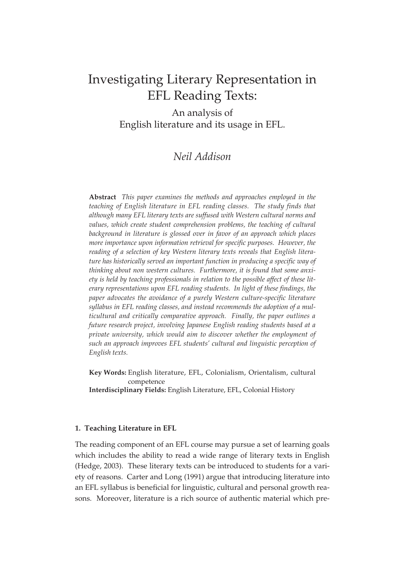# Investigating Literary Representation in EFL Reading Texts:

An analysis of English literature and its usage in EFL.

## *Neil Addison*

**Abstract** *This paper examines the methods and approaches employed in the teaching of English literature in EFL reading classes. The study finds that although many EFL literary texts are suffused with Western cultural norms and values, which create student comprehension problems, the teaching of cultural background in literature is glossed over in favor of an approach which places more importance upon information retrieval for specific purposes. However, the reading of a selection of key Western literary texts reveals that English literature has historically served an important function in producing a specific way of thinking about non western cultures. Furthermore, it is found that some anxiety is held by teaching professionals in relation to the possible affect of these literary representations upon EFL reading students. In light of these findings, the paper advocates the avoidance of a purely Western culture-specific literature syllabus in EFL reading classes, and instead recommends the adoption of a multicultural and critically comparative approach. Finally, the paper outlines a future research project, involving Japanese English reading students based at a private university, which would aim to discover whether the employment of such an approach improves EFL students' cultural and linguistic perception of English texts.*

**Key Words:** English literature, EFL, Colonialism, Orientalism, cultural competence **Interdisciplinary Fields:** English Literature, EFL, Colonial History

## **1. Teaching Literature in EFL**

The reading component of an EFL course may pursue a set of learning goals which includes the ability to read a wide range of literary texts in English (Hedge, 2003). These literary texts can be introduced to students for a variety of reasons. Carter and Long (1991) argue that introducing literature into an EFL syllabus is beneficial for linguistic, cultural and personal growth reasons. Moreover, literature is a rich source of authentic material which pre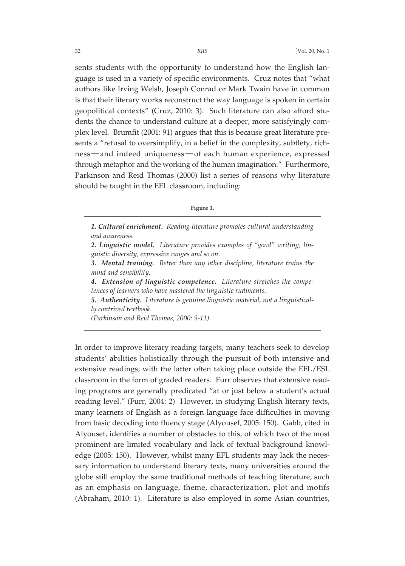sents students with the opportunity to understand how the English language is used in a variety of specific environments. Cruz notes that "what authors like Irving Welsh, Joseph Conrad or Mark Twain have in common is that their literary works reconstruct the way language is spoken in certain geopolitical contexts" (Cruz, 2010: 3). Such literature can also afford students the chance to understand culture at a deeper, more satisfyingly complex level. Brumfit (2001: 91) argues that this is because great literature presents a "refusal to oversimplify, in a belief in the complexity, subtlety, richness―and indeed uniqueness―of each human experience, expressed through metaphor and the working of the human imagination." Furthermore, Parkinson and Reid Thomas (2000) list a series of reasons why literature should be taught in the EFL classroom, including:

#### **Figure 1.**

*1. Cultural enrichment. Reading literature promotes cultural understanding and awareness. 2. Linguistic model. Literature provides examples of "good" writing, linguistic diversity, expressive ranges and so on. 3. Mental training. Better than any other discipline, literature trains the mind and sensibility. 4. Extension of linguistic competence. Literature stretches the competences of learners who have mastered the linguistic rudiments. 5. Authenticity. Literature is genuine linguistic material, not a linguistically contrived textbook. (Parkinson and Reid Thomas, 2000: 9-11).*

In order to improve literary reading targets, many teachers seek to develop students' abilities holistically through the pursuit of both intensive and extensive readings, with the latter often taking place outside the EFL/ESL classroom in the form of graded readers. Furr observes that extensive reading programs are generally predicated "at or just below a student's actual reading level." (Furr, 2004: 2) However, in studying English literary texts, many learners of English as a foreign language face difficulties in moving from basic decoding into fluency stage (Alyousef, 2005: 150). Gabb, cited in Alyousef, identifies a number of obstacles to this, of which two of the most prominent are limited vocabulary and lack of textual background knowledge (2005: 150). However, whilst many EFL students may lack the necessary information to understand literary texts, many universities around the globe still employ the same traditional methods of teaching literature, such as an emphasis on language, theme, characterization, plot and motifs (Abraham, 2010: 1). Literature is also employed in some Asian countries,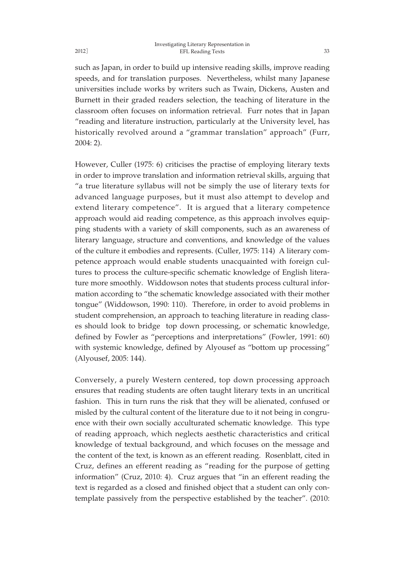such as Japan, in order to build up intensive reading skills, improve reading speeds, and for translation purposes. Nevertheless, whilst many Japanese universities include works by writers such as Twain, Dickens, Austen and Burnett in their graded readers selection, the teaching of literature in the classroom often focuses on information retrieval. Furr notes that in Japan "reading and literature instruction, particularly at the University level, has historically revolved around a "grammar translation" approach" (Furr, 2004: 2).

However, Culler (1975: 6) criticises the practise of employing literary texts in order to improve translation and information retrieval skills, arguing that "a true literature syllabus will not be simply the use of literary texts for advanced language purposes, but it must also attempt to develop and extend literary competence". It is argued that a literary competence approach would aid reading competence, as this approach involves equipping students with a variety of skill components, such as an awareness of literary language, structure and conventions, and knowledge of the values of the culture it embodies and represents. (Culler, 1975: 114) A literary competence approach would enable students unacquainted with foreign cultures to process the culture-specific schematic knowledge of English literature more smoothly. Widdowson notes that students process cultural information according to "the schematic knowledge associated with their mother tongue" (Widdowson, 1990: 110). Therefore, in order to avoid problems in student comprehension, an approach to teaching literature in reading classes should look to bridge top down processing, or schematic knowledge, defined by Fowler as "perceptions and interpretations" (Fowler, 1991: 60) with systemic knowledge, defined by Alyousef as "bottom up processing" (Alyousef, 2005: 144).

Conversely, a purely Western centered, top down processing approach ensures that reading students are often taught literary texts in an uncritical fashion. This in turn runs the risk that they will be alienated, confused or misled by the cultural content of the literature due to it not being in congruence with their own socially acculturated schematic knowledge. This type of reading approach, which neglects aesthetic characteristics and critical knowledge of textual background, and which focuses on the message and the content of the text, is known as an efferent reading. Rosenblatt, cited in Cruz, defines an efferent reading as "reading for the purpose of getting information" (Cruz, 2010: 4). Cruz argues that "in an efferent reading the text is regarded as a closed and finished object that a student can only contemplate passively from the perspective established by the teacher". (2010:

2012]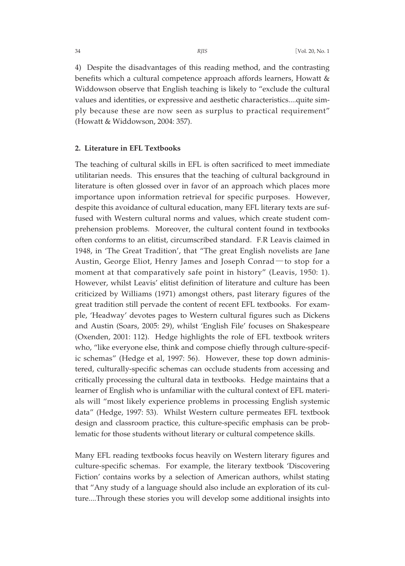4) Despite the disadvantages of this reading method, and the contrasting benefits which a cultural competence approach affords learners, Howatt & Widdowson observe that English teaching is likely to "exclude the cultural values and identities, or expressive and aesthetic characteristics....quite simply because these are now seen as surplus to practical requirement" (Howatt & Widdowson, 2004: 357).

## **2. Literature in EFL Textbooks**

The teaching of cultural skills in EFL is often sacrificed to meet immediate utilitarian needs. This ensures that the teaching of cultural background in literature is often glossed over in favor of an approach which places more importance upon information retrieval for specific purposes. However, despite this avoidance of cultural education, many EFL literary texts are suffused with Western cultural norms and values, which create student comprehension problems. Moreover, the cultural content found in textbooks often conforms to an elitist, circumscribed standard. F.R Leavis claimed in 1948, in 'The Great Tradition', that "The great English novelists are Jane Austin, George Eliot, Henry James and Joseph Conrad―to stop for a moment at that comparatively safe point in history" (Leavis, 1950: 1). However, whilst Leavis' elitist definition of literature and culture has been criticized by Williams (1971) amongst others, past literary figures of the great tradition still pervade the content of recent EFL textbooks. For example, 'Headway' devotes pages to Western cultural figures such as Dickens and Austin (Soars, 2005: 29), whilst 'English File' focuses on Shakespeare (Oxenden, 2001: 112). Hedge highlights the role of EFL textbook writers who, "like everyone else, think and compose chiefly through culture-specific schemas" (Hedge et al, 1997: 56). However, these top down administered, culturally-specific schemas can occlude students from accessing and critically processing the cultural data in textbooks. Hedge maintains that a learner of English who is unfamiliar with the cultural context of EFL materials will "most likely experience problems in processing English systemic data" (Hedge, 1997: 53). Whilst Western culture permeates EFL textbook design and classroom practice, this culture-specific emphasis can be problematic for those students without literary or cultural competence skills.

Many EFL reading textbooks focus heavily on Western literary figures and culture-specific schemas. For example, the literary textbook 'Discovering Fiction' contains works by a selection of American authors, whilst stating that "Any study of a language should also include an exploration of its culture....Through these stories you will develop some additional insights into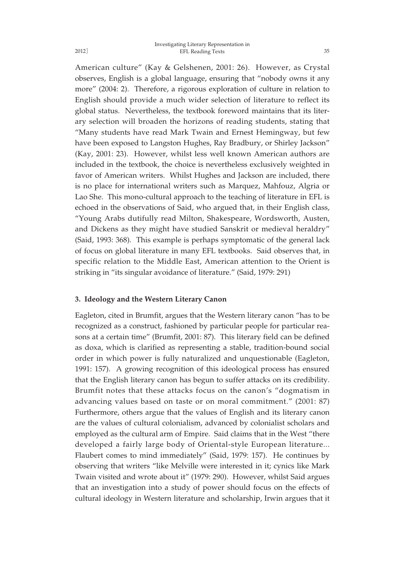American culture" (Kay & Gelshenen, 2001: 26). However, as Crystal observes, English is a global language, ensuring that "nobody owns it any more" (2004: 2). Therefore, a rigorous exploration of culture in relation to English should provide a much wider selection of literature to reflect its global status. Nevertheless, the textbook foreword maintains that its literary selection will broaden the horizons of reading students, stating that "Many students have read Mark Twain and Ernest Hemingway, but few have been exposed to Langston Hughes, Ray Bradbury, or Shirley Jackson" (Kay, 2001: 23). However, whilst less well known American authors are included in the textbook, the choice is nevertheless exclusively weighted in favor of American writers. Whilst Hughes and Jackson are included, there is no place for international writers such as Marquez, Mahfouz, Algria or Lao She. This mono-cultural approach to the teaching of literature in EFL is echoed in the observations of Said, who argued that, in their English class, "Young Arabs dutifully read Milton, Shakespeare, Wordsworth, Austen, and Dickens as they might have studied Sanskrit or medieval heraldry" (Said, 1993: 368). This example is perhaps symptomatic of the general lack of focus on global literature in many EFL textbooks. Said observes that, in specific relation to the Middle East, American attention to the Orient is striking in "its singular avoidance of literature." (Said, 1979: 291)

## **3. Ideology and the Western Literary Canon**

Eagleton, cited in Brumfit, argues that the Western literary canon "has to be recognized as a construct, fashioned by particular people for particular reasons at a certain time" (Brumfit, 2001: 87). This literary field can be defined as doxa, which is clarified as representing a stable, tradition-bound social order in which power is fully naturalized and unquestionable (Eagleton, 1991: 157). A growing recognition of this ideological process has ensured that the English literary canon has begun to suffer attacks on its credibility. Brumfit notes that these attacks focus on the canon's "dogmatism in advancing values based on taste or on moral commitment." (2001: 87) Furthermore, others argue that the values of English and its literary canon are the values of cultural colonialism, advanced by colonialist scholars and employed as the cultural arm of Empire. Said claims that in the West "there developed a fairly large body of Oriental-style European literature... Flaubert comes to mind immediately" (Said, 1979: 157). He continues by observing that writers "like Melville were interested in it; cynics like Mark Twain visited and wrote about it" (1979: 290). However, whilst Said argues that an investigation into a study of power should focus on the effects of cultural ideology in Western literature and scholarship, Irwin argues that it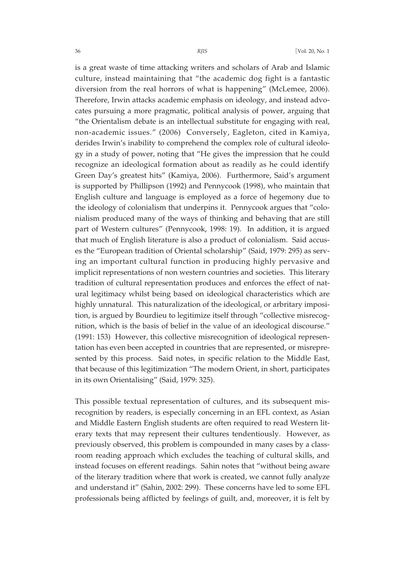is a great waste of time attacking writers and scholars of Arab and Islamic culture, instead maintaining that "the academic dog fight is a fantastic diversion from the real horrors of what is happening" (McLemee, 2006). Therefore, Irwin attacks academic emphasis on ideology, and instead advocates pursuing a more pragmatic, political analysis of power, arguing that "the Orientalism debate is an intellectual substitute for engaging with real, non-academic issues." (2006) Conversely, Eagleton, cited in Kamiya, derides Irwin's inability to comprehend the complex role of cultural ideology in a study of power, noting that "He gives the impression that he could recognize an ideological formation about as readily as he could identify Green Day's greatest hits" (Kamiya, 2006). Furthermore, Said's argument is supported by Phillipson (1992) and Pennycook (1998), who maintain that English culture and language is employed as a force of hegemony due to the ideology of colonialism that underpins it. Pennycook argues that "colonialism produced many of the ways of thinking and behaving that are still part of Western cultures" (Pennycook, 1998: 19). In addition, it is argued that much of English literature is also a product of colonialism. Said accuses the "European tradition of Oriental scholarship" (Said, 1979: 295) as serving an important cultural function in producing highly pervasive and implicit representations of non western countries and societies. This literary tradition of cultural representation produces and enforces the effect of natural legitimacy whilst being based on ideological characteristics which are highly unnatural. This naturalization of the ideological, or arbritary imposition, is argued by Bourdieu to legitimize itself through "collective misrecognition, which is the basis of belief in the value of an ideological discourse." (1991: 153) However, this collective misrecognition of ideological representation has even been accepted in countries that are represented, or misrepresented by this process. Said notes, in specific relation to the Middle East, that because of this legitimization "The modern Orient, in short, participates in its own Orientalising" (Said, 1979: 325).

This possible textual representation of cultures, and its subsequent misrecognition by readers, is especially concerning in an EFL context, as Asian and Middle Eastern English students are often required to read Western literary texts that may represent their cultures tendentiously. However, as previously observed, this problem is compounded in many cases by a classroom reading approach which excludes the teaching of cultural skills, and instead focuses on efferent readings. Sahin notes that "without being aware of the literary tradition where that work is created, we cannot fully analyze and understand it" (Sahin, 2002: 299). These concerns have led to some EFL professionals being afflicted by feelings of guilt, and, moreover, it is felt by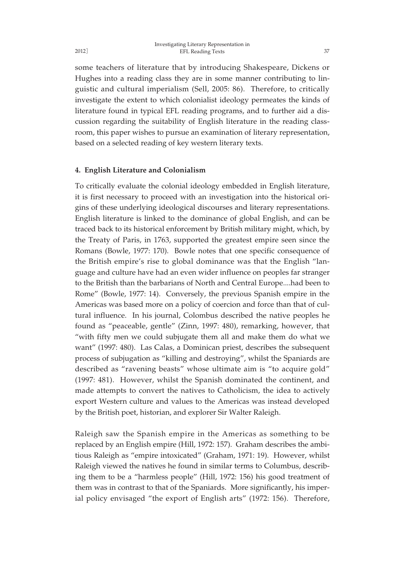some teachers of literature that by introducing Shakespeare, Dickens or Hughes into a reading class they are in some manner contributing to linguistic and cultural imperialism (Sell, 2005: 86). Therefore, to critically investigate the extent to which colonialist ideology permeates the kinds of literature found in typical EFL reading programs, and to further aid a discussion regarding the suitability of English literature in the reading classroom, this paper wishes to pursue an examination of literary representation, based on a selected reading of key western literary texts.

## **4. English Literature and Colonialism**

To critically evaluate the colonial ideology embedded in English literature, it is first necessary to proceed with an investigation into the historical origins of these underlying ideological discourses and literary representations. English literature is linked to the dominance of global English, and can be traced back to its historical enforcement by British military might, which, by the Treaty of Paris, in 1763, supported the greatest empire seen since the Romans (Bowle, 1977: 170). Bowle notes that one specific consequence of the British empire's rise to global dominance was that the English "language and culture have had an even wider influence on peoples far stranger to the British than the barbarians of North and Central Europe....had been to Rome" (Bowle, 1977: 14). Conversely, the previous Spanish empire in the Americas was based more on a policy of coercion and force than that of cultural influence. In his journal, Colombus described the native peoples he found as "peaceable, gentle" (Zinn, 1997: 480), remarking, however, that "with fifty men we could subjugate them all and make them do what we want" (1997: 480). Las Calas, a Dominican priest, describes the subsequent process of subjugation as "killing and destroying", whilst the Spaniards are described as "ravening beasts" whose ultimate aim is "to acquire gold" (1997: 481). However, whilst the Spanish dominated the continent, and made attempts to convert the natives to Catholicism, the idea to actively export Western culture and values to the Americas was instead developed by the British poet, historian, and explorer Sir Walter Raleigh.

Raleigh saw the Spanish empire in the Americas as something to be replaced by an English empire (Hill, 1972: 157). Graham describes the ambitious Raleigh as "empire intoxicated" (Graham, 1971: 19). However, whilst Raleigh viewed the natives he found in similar terms to Columbus, describing them to be a "harmless people" (Hill, 1972: 156) his good treatment of them was in contrast to that of the Spaniards. More significantly, his imperial policy envisaged "the export of English arts" (1972: 156). Therefore,

2012]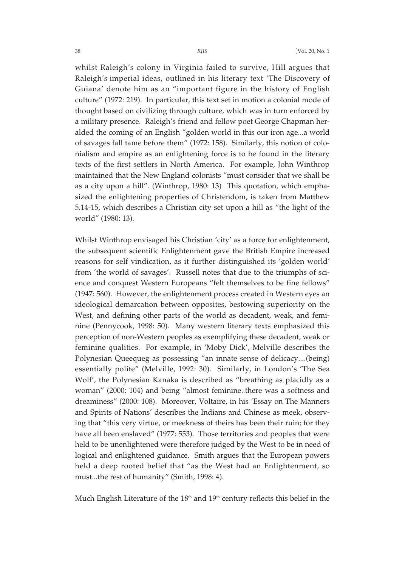whilst Raleigh's colony in Virginia failed to survive, Hill argues that Raleigh's imperial ideas, outlined in his literary text 'The Discovery of Guiana' denote him as an "important figure in the history of English culture" (1972: 219). In particular, this text set in motion a colonial mode of thought based on civilizing through culture, which was in turn enforced by a military presence. Raleigh's friend and fellow poet George Chapman heralded the coming of an English "golden world in this our iron age...a world of savages fall tame before them" (1972: 158). Similarly, this notion of colonialism and empire as an enlightening force is to be found in the literary texts of the first settlers in North America. For example, John Winthrop maintained that the New England colonists "must consider that we shall be as a city upon a hill". (Winthrop, 1980: 13) This quotation, which emphasized the enlightening properties of Christendom, is taken from Matthew 5.14-15, which describes a Christian city set upon a hill as "the light of the world" (1980: 13).

Whilst Winthrop envisaged his Christian 'city' as a force for enlightenment, the subsequent scientific Enlightenment gave the British Empire increased reasons for self vindication, as it further distinguished its 'golden world' from 'the world of savages'. Russell notes that due to the triumphs of science and conquest Western Europeans "felt themselves to be fine fellows" (1947: 560). However, the enlightenment process created in Western eyes an ideological demarcation between opposites, bestowing superiority on the West, and defining other parts of the world as decadent, weak, and feminine (Pennycook, 1998: 50). Many western literary texts emphasized this perception of non-Western peoples as exemplifying these decadent, weak or feminine qualities. For example, in 'Moby Dick', Melville describes the Polynesian Queequeg as possessing "an innate sense of delicacy....(being) essentially polite" (Melville, 1992: 30). Similarly, in London's 'The Sea Wolf', the Polynesian Kanaka is described as "breathing as placidly as a woman" (2000: 104) and being "almost feminine..there was a softness and dreaminess" (2000: 108). Moreover, Voltaire, in his 'Essay on The Manners and Spirits of Nations' describes the Indians and Chinese as meek, observing that "this very virtue, or meekness of theirs has been their ruin; for they have all been enslaved" (1977: 553). Those territories and peoples that were held to be unenlightened were therefore judged by the West to be in need of logical and enlightened guidance. Smith argues that the European powers held a deep rooted belief that "as the West had an Enlightenment, so must...the rest of humanity" (Smith, 1998: 4).

Much English Literature of the  $18<sup>th</sup>$  and  $19<sup>th</sup>$  century reflects this belief in the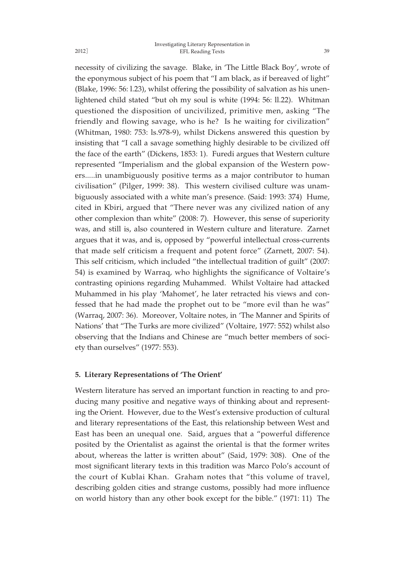necessity of civilizing the savage. Blake, in 'The Little Black Boy', wrote of the eponymous subject of his poem that "I am black, as if bereaved of light" (Blake, 1996: 56: l.23), whilst offering the possibility of salvation as his unenlightened child stated "but oh my soul is white (1994: 56: ll.22). Whitman questioned the disposition of uncivilized, primitive men, asking "The friendly and flowing savage, who is he? Is he waiting for civilization" (Whitman, 1980: 753: ls.978-9), whilst Dickens answered this question by insisting that "I call a savage something highly desirable to be civilized off the face of the earth" (Dickens, 1853: 1). Furedi argues that Western culture represented "Imperialism and the global expansion of the Western powers.....in unambiguously positive terms as a major contributor to human civilisation" (Pilger, 1999: 38). This western civilised culture was unambiguously associated with a white man's presence. (Said: 1993: 374) Hume, cited in Kbiri, argued that "There never was any civilized nation of any other complexion than white" (2008: 7). However, this sense of superiority was, and still is, also countered in Western culture and literature. Zarnet argues that it was, and is, opposed by "powerful intellectual cross-currents that made self criticism a frequent and potent force" (Zarnett, 2007: 54). This self criticism, which included "the intellectual tradition of guilt" (2007: 54) is examined by Warraq, who highlights the significance of Voltaire's contrasting opinions regarding Muhammed. Whilst Voltaire had attacked Muhammed in his play 'Mahomet', he later retracted his views and confessed that he had made the prophet out to be "more evil than he was" (Warraq, 2007: 36). Moreover, Voltaire notes, in 'The Manner and Spirits of Nations' that "The Turks are more civilized" (Voltaire, 1977: 552) whilst also observing that the Indians and Chinese are "much better members of society than ourselves" (1977: 553).

## **5. Literary Representations of 'The Orient'**

Western literature has served an important function in reacting to and producing many positive and negative ways of thinking about and representing the Orient. However, due to the West's extensive production of cultural and literary representations of the East, this relationship between West and East has been an unequal one. Said, argues that a "powerful difference posited by the Orientalist as against the oriental is that the former writes about, whereas the latter is written about" (Said, 1979: 308). One of the most significant literary texts in this tradition was Marco Polo's account of the court of Kublai Khan. Graham notes that "this volume of travel, describing golden cities and strange customs, possibly had more influence on world history than any other book except for the bible." (1971: 11) The

2012]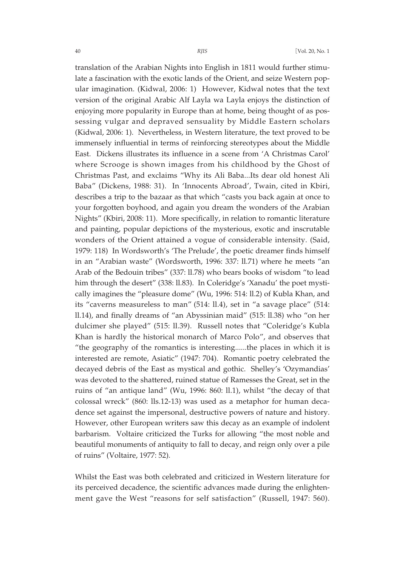translation of the Arabian Nights into English in 1811 would further stimulate a fascination with the exotic lands of the Orient, and seize Western popular imagination. (Kidwal, 2006: 1) However, Kidwal notes that the text version of the original Arabic Alf Layla wa Layla enjoys the distinction of enjoying more popularity in Europe than at home, being thought of as possessing vulgar and depraved sensuality by Middle Eastern scholars (Kidwal, 2006: 1). Nevertheless, in Western literature, the text proved to be immensely influential in terms of reinforcing stereotypes about the Middle East. Dickens illustrates its influence in a scene from 'A Christmas Carol' where Scrooge is shown images from his childhood by the Ghost of Christmas Past, and exclaims "Why its Ali Baba...Its dear old honest Ali Baba" (Dickens, 1988: 31). In 'Innocents Abroad', Twain, cited in Kbiri, describes a trip to the bazaar as that which "casts you back again at once to your forgotten boyhood, and again you dream the wonders of the Arabian Nights" (Kbiri, 2008: 11). More specifically, in relation to romantic literature and painting, popular depictions of the mysterious, exotic and inscrutable wonders of the Orient attained a vogue of considerable intensity. (Said, 1979: 118) In Wordsworth's 'The Prelude', the poetic dreamer finds himself in an "Arabian waste" (Wordsworth, 1996: 337: ll.71) where he meets "an Arab of the Bedouin tribes" (337: ll.78) who bears books of wisdom "to lead him through the desert" (338: ll.83). In Coleridge's 'Xanadu' the poet mystically imagines the "pleasure dome" (Wu, 1996: 514: ll.2) of Kubla Khan, and its "caverns measureless to man" (514: ll.4), set in "a savage place" (514: ll.14), and finally dreams of "an Abyssinian maid" (515: ll.38) who "on her dulcimer she played" (515: ll.39). Russell notes that "Coleridge's Kubla Khan is hardly the historical monarch of Marco Polo", and observes that "the geography of the romantics is interesting......the places in which it is interested are remote, Asiatic" (1947: 704). Romantic poetry celebrated the decayed debris of the East as mystical and gothic. Shelley's 'Ozymandias' was devoted to the shattered, ruined statue of Ramesses the Great, set in the ruins of "an antique land" (Wu, 1996: 860: ll.1), whilst "the decay of that colossal wreck" (860: lls.12-13) was used as a metaphor for human decadence set against the impersonal, destructive powers of nature and history. However, other European writers saw this decay as an example of indolent barbarism. Voltaire criticized the Turks for allowing "the most noble and beautiful monuments of antiquity to fall to decay, and reign only over a pile of ruins" (Voltaire, 1977: 52).

Whilst the East was both celebrated and criticized in Western literature for its perceived decadence, the scientific advances made during the enlightenment gave the West "reasons for self satisfaction" (Russell, 1947: 560).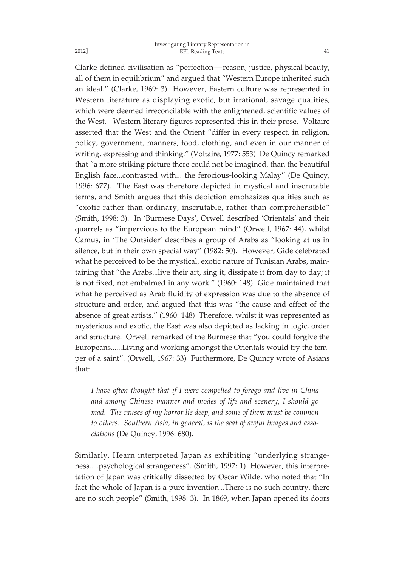#### Investigating Literary Representation in EFL Reading Texts 41

Clarke defined civilisation as "perfection―reason, justice, physical beauty, all of them in equilibrium" and argued that "Western Europe inherited such an ideal." (Clarke, 1969: 3) However, Eastern culture was represented in Western literature as displaying exotic, but irrational, savage qualities, which were deemed irreconcilable with the enlightened, scientific values of the West. Western literary figures represented this in their prose. Voltaire asserted that the West and the Orient "differ in every respect, in religion, policy, government, manners, food, clothing, and even in our manner of writing, expressing and thinking." (Voltaire, 1977: 553) De Quincy remarked that "a more striking picture there could not be imagined, than the beautiful English face...contrasted with... the ferocious-looking Malay" (De Quincy, 1996: 677). The East was therefore depicted in mystical and inscrutable terms, and Smith argues that this depiction emphasizes qualities such as "exotic rather than ordinary, inscrutable, rather than comprehensible" (Smith, 1998: 3). In 'Burmese Days', Orwell described 'Orientals' and their quarrels as "impervious to the European mind" (Orwell, 1967: 44), whilst Camus, in 'The Outsider' describes a group of Arabs as "looking at us in silence, but in their own special way" (1982: 50). However, Gide celebrated what he perceived to be the mystical, exotic nature of Tunisian Arabs, maintaining that "the Arabs...live their art, sing it, dissipate it from day to day; it is not fixed, not embalmed in any work." (1960: 148) Gide maintained that what he perceived as Arab fluidity of expression was due to the absence of structure and order, and argued that this was "the cause and effect of the absence of great artists." (1960: 148) Therefore, whilst it was represented as mysterious and exotic, the East was also depicted as lacking in logic, order and structure. Orwell remarked of the Burmese that "you could forgive the Europeans......Living and working amongst the Orientals would try the temper of a saint". (Orwell, 1967: 33) Furthermore, De Quincy wrote of Asians that:

*I have often thought that if I were compelled to forego and live in China and among Chinese manner and modes of life and scenery, I should go mad. The causes of my horror lie deep, and some of them must be common to others. Southern Asia, in general, is the seat of awful images and associations* (De Quincy, 1996: 680).

Similarly, Hearn interpreted Japan as exhibiting "underlying strangeness.....psychological strangeness". (Smith, 1997: 1) However, this interpretation of Japan was critically dissected by Oscar Wilde, who noted that "In fact the whole of Japan is a pure invention...There is no such country, there are no such people" (Smith, 1998: 3). In 1869, when Japan opened its doors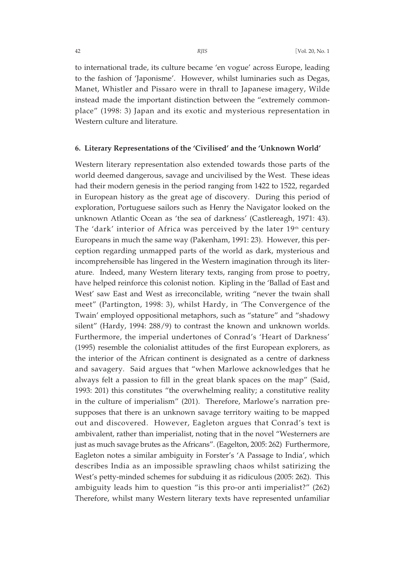to international trade, its culture became 'en vogue' across Europe, leading to the fashion of 'Japonisme'. However, whilst luminaries such as Degas, Manet, Whistler and Pissaro were in thrall to Japanese imagery, Wilde instead made the important distinction between the "extremely commonplace" (1998: 3) Japan and its exotic and mysterious representation in Western culture and literature.

## **6. Literary Representations of the 'Civilised' and the 'Unknown World'**

Western literary representation also extended towards those parts of the world deemed dangerous, savage and uncivilised by the West. These ideas had their modern genesis in the period ranging from 1422 to 1522, regarded in European history as the great age of discovery. During this period of exploration, Portuguese sailors such as Henry the Navigator looked on the unknown Atlantic Ocean as 'the sea of darkness' (Castlereagh, 1971: 43). The 'dark' interior of Africa was perceived by the later 19<sup>th</sup> century Europeans in much the same way (Pakenham, 1991: 23). However, this perception regarding unmapped parts of the world as dark, mysterious and incomprehensible has lingered in the Western imagination through its literature. Indeed, many Western literary texts, ranging from prose to poetry, have helped reinforce this colonist notion. Kipling in the 'Ballad of East and West' saw East and West as irreconcilable, writing "never the twain shall meet" (Partington, 1998: 3), whilst Hardy, in 'The Convergence of the Twain' employed oppositional metaphors, such as "stature" and "shadowy silent" (Hardy, 1994: 288/9) to contrast the known and unknown worlds. Furthermore, the imperial undertones of Conrad's 'Heart of Darkness' (1995) resemble the colonialist attitudes of the first European explorers, as the interior of the African continent is designated as a centre of darkness and savagery. Said argues that "when Marlowe acknowledges that he always felt a passion to fill in the great blank spaces on the map" (Said, 1993: 201) this constitutes "the overwhelming reality; a constitutive reality in the culture of imperialism" (201). Therefore, Marlowe's narration presupposes that there is an unknown savage territory waiting to be mapped out and discovered. However, Eagleton argues that Conrad's text is ambivalent, rather than imperialist, noting that in the novel "Westerners are just as much savage brutes as the Africans". (Eagelton, 2005: 262) Furthermore, Eagleton notes a similar ambiguity in Forster's 'A Passage to India', which describes India as an impossible sprawling chaos whilst satirizing the West's petty-minded schemes for subduing it as ridiculous (2005: 262). This ambiguity leads him to question "is this pro-or anti imperialist?" (262) Therefore, whilst many Western literary texts have represented unfamiliar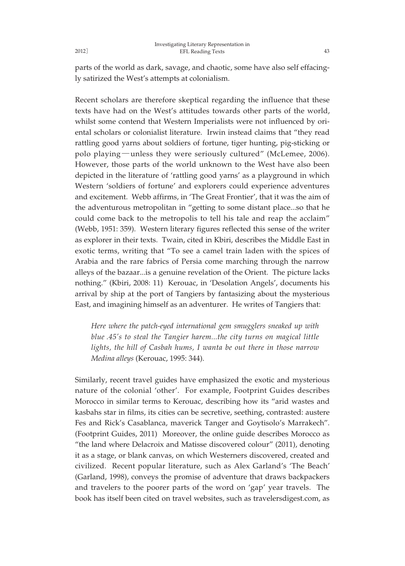parts of the world as dark, savage, and chaotic, some have also self effacingly satirized the West's attempts at colonialism.

Recent scholars are therefore skeptical regarding the influence that these texts have had on the West's attitudes towards other parts of the world, whilst some contend that Western Imperialists were not influenced by oriental scholars or colonialist literature. Irwin instead claims that "they read rattling good yarns about soldiers of fortune, tiger hunting, pig-sticking or polo playing―unless they were seriously cultured" (McLemee, 2006). However, those parts of the world unknown to the West have also been depicted in the literature of 'rattling good yarns' as a playground in which Western 'soldiers of fortune' and explorers could experience adventures and excitement. Webb affirms, in 'The Great Frontier', that it was the aim of the adventurous metropolitan in "getting to some distant place...so that he could come back to the metropolis to tell his tale and reap the acclaim" (Webb, 1951: 359). Western literary figures reflected this sense of the writer as explorer in their texts. Twain, cited in Kbiri, describes the Middle East in exotic terms, writing that "To see a camel train laden with the spices of Arabia and the rare fabrics of Persia come marching through the narrow alleys of the bazaar...is a genuine revelation of the Orient. The picture lacks nothing." (Kbiri, 2008: 11) Kerouac, in 'Desolation Angels', documents his arrival by ship at the port of Tangiers by fantasizing about the mysterious East, and imagining himself as an adventurer. He writes of Tangiers that:

*Here where the patch-eyed international gem smugglers sneaked up with blue .45's to steal the Tangier harem...the city turns on magical little lights, the hill of Casbah hums, I wanta be out there in those narrow Medina alleys* (Kerouac, 1995: 344).

Similarly, recent travel guides have emphasized the exotic and mysterious nature of the colonial 'other'. For example, Footprint Guides describes Morocco in similar terms to Kerouac, describing how its "arid wastes and kasbahs star in films, its cities can be secretive, seething, contrasted: austere Fes and Rick's Casablanca, maverick Tanger and Goytisolo's Marrakech". (Footprint Guides, 2011) Moreover, the online guide describes Morocco as "the land where Delacroix and Matisse discovered colour" (2011), denoting it as a stage, or blank canvas, on which Westerners discovered, created and civilized. Recent popular literature, such as Alex Garland's 'The Beach' (Garland, 1998), conveys the promise of adventure that draws backpackers and travelers to the poorer parts of the word on 'gap' year travels. The book has itself been cited on travel websites, such as travelersdigest.com, as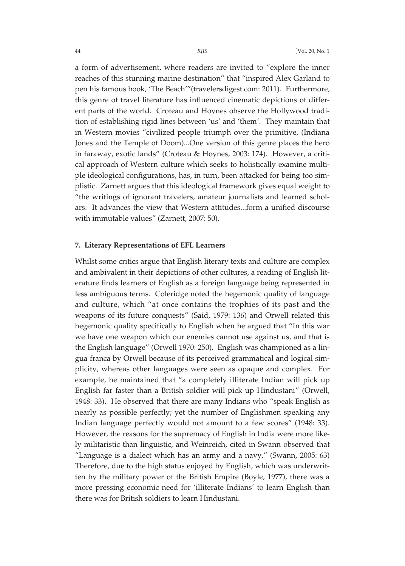a form of advertisement, where readers are invited to "explore the inner reaches of this stunning marine destination" that "inspired Alex Garland to pen his famous book, 'The Beach'"(travelersdigest.com: 2011). Furthermore, this genre of travel literature has influenced cinematic depictions of different parts of the world. Croteau and Hoynes observe the Hollywood tradition of establishing rigid lines between 'us' and 'them'. They maintain that in Western movies "civilized people triumph over the primitive, (Indiana Jones and the Temple of Doom)...One version of this genre places the hero in faraway, exotic lands" (Croteau & Hoynes, 2003: 174). However, a critical approach of Western culture which seeks to holistically examine multiple ideological configurations, has, in turn, been attacked for being too simplistic. Zarnett argues that this ideological framework gives equal weight to "the writings of ignorant travelers, amateur journalists and learned scholars. It advances the view that Western attitudes...form a unified discourse with immutable values" (Zarnett, 2007: 50).

## **7. Literary Representations of EFL Learners**

Whilst some critics argue that English literary texts and culture are complex and ambivalent in their depictions of other cultures, a reading of English literature finds learners of English as a foreign language being represented in less ambiguous terms. Coleridge noted the hegemonic quality of language and culture, which "at once contains the trophies of its past and the weapons of its future conquests" (Said, 1979: 136) and Orwell related this hegemonic quality specifically to English when he argued that "In this war we have one weapon which our enemies cannot use against us, and that is the English language" (Orwell 1970: 250). English was championed as a lingua franca by Orwell because of its perceived grammatical and logical simplicity, whereas other languages were seen as opaque and complex. For example, he maintained that "a completely illiterate Indian will pick up English far faster than a British soldier will pick up Hindustani" (Orwell, 1948: 33). He observed that there are many Indians who "speak English as nearly as possible perfectly; yet the number of Englishmen speaking any Indian language perfectly would not amount to a few scores" (1948: 33). However, the reasons for the supremacy of English in India were more likely militaristic than linguistic, and Weinreich, cited in Swann observed that "Language is a dialect which has an army and a navy." (Swann, 2005: 63) Therefore, due to the high status enjoyed by English, which was underwritten by the military power of the British Empire (Boyle, 1977), there was a more pressing economic need for 'illiterate Indians' to learn English than there was for British soldiers to learn Hindustani.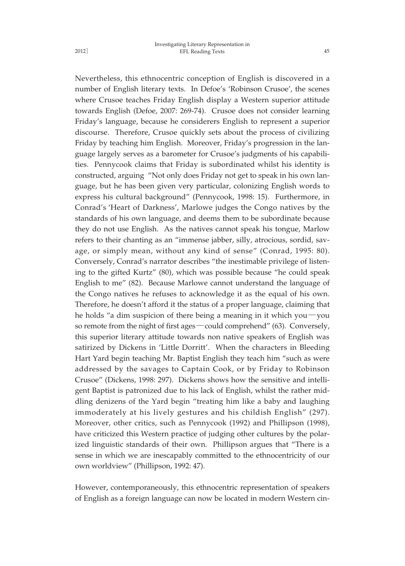2012]

Nevertheless, this ethnocentric conception of English is discovered in a number of English literary texts. In Defoe's 'Robinson Crusoe', the scenes where Crusoe teaches Friday English display a Western superior attitude towards English (Defoe, 2007: 269-74). Crusoe does not consider learning Friday's language, because he considerers English to represent a superior discourse. Therefore, Crusoe quickly sets about the process of civilizing Friday by teaching him English. Moreover, Friday's progression in the language largely serves as a barometer for Crusoe's judgments of his capabilities. Pennycook claims that Friday is subordinated whilst his identity is constructed, arguing "Not only does Friday not get to speak in his own language, but he has been given very particular, colonizing English words to express his cultural background" (Pennycook, 1998: 15). Furthermore, in Conrad's 'Heart of Darkness', Marlowe judges the Congo natives by the standards of his own language, and deems them to be subordinate because they do not use English. As the natives cannot speak his tongue, Marlow refers to their chanting as an "immense jabber, silly, atrocious, sordid, savage, or simply mean, without any kind of sense" (Conrad, 1995: 80). Conversely, Conrad's narrator describes "the inestimable privilege of listening to the gifted Kurtz" (80), which was possible because "he could speak English to me" (82). Because Marlowe cannot understand the language of the Congo natives he refuses to acknowledge it as the equal of his own. Therefore, he doesn't afford it the status of a proper language, claiming that he holds "a dim suspicion of there being a meaning in it which you―you so remote from the night of first ages―could comprehend" (63). Conversely, this superior literary attitude towards non native speakers of English was satirized by Dickens in 'Little Dorritt'. When the characters in Bleeding Hart Yard begin teaching Mr. Baptist English they teach him "such as were addressed by the savages to Captain Cook, or by Friday to Robinson Crusoe" (Dickens, 1998: 297). Dickens shows how the sensitive and intelligent Baptist is patronized due to his lack of English, whilst the rather middling denizens of the Yard begin "treating him like a baby and laughing immoderately at his lively gestures and his childish English" (297). Moreover, other critics, such as Pennycook (1992) and Phillipson (1998), have criticized this Western practice of judging other cultures by the polarized linguistic standards of their own. Phillipson argues that "There is a sense in which we are inescapably committed to the ethnocentricity of our own worldview" (Phillipson, 1992: 47).

However, contemporaneously, this ethnocentric representation of speakers of English as a foreign language can now be located in modern Western cin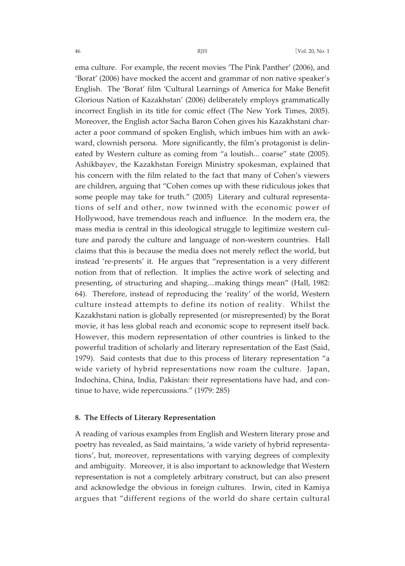ema culture. For example, the recent movies 'The Pink Panther' (2006), and 'Borat' (2006) have mocked the accent and grammar of non native speaker's English. The 'Borat' film 'Cultural Learnings of America for Make Benefit Glorious Nation of Kazakhstan' (2006) deliberately employs grammatically incorrect English in its title for comic effect (The New York Times, 2005). Moreover, the English actor Sacha Baron Cohen gives his Kazakhstani character a poor command of spoken English, which imbues him with an awkward, clownish persona. More significantly, the film's protagonist is delineated by Western culture as coming from "a loutish... coarse" state (2005). Ashikbayev, the Kazakhstan Foreign Ministry spokesman, explained that his concern with the film related to the fact that many of Cohen's viewers are children, arguing that "Cohen comes up with these ridiculous jokes that some people may take for truth." (2005) Literary and cultural representations of self and other, now twinned with the economic power of Hollywood, have tremendous reach and influence. In the modern era, the mass media is central in this ideological struggle to legitimize western culture and parody the culture and language of non-western countries. Hall claims that this is because the media does not merely reflect the world, but instead 're-presents' it. He argues that "representation is a very different notion from that of reflection. It implies the active work of selecting and presenting, of structuring and shaping....making things mean" (Hall, 1982: 64). Therefore, instead of reproducing the 'reality' of the world, Western culture instead attempts to define its notion of reality. Whilst the Kazakhstani nation is globally represented (or misrepresented) by the Borat movie, it has less global reach and economic scope to represent itself back. However, this modern representation of other countries is linked to the powerful tradition of scholarly and literary representation of the East (Said, 1979). Said contests that due to this process of literary representation "a wide variety of hybrid representations now roam the culture. Japan, Indochina, China, India, Pakistan: their representations have had, and continue to have, wide repercussions." (1979: 285)

## **8. The Effects of Literary Representation**

A reading of various examples from English and Western literary prose and poetry has revealed, as Said maintains, 'a wide variety of hybrid representations', but, moreover, representations with varying degrees of complexity and ambiguity. Moreover, it is also important to acknowledge that Western representation is not a completely arbitrary construct, but can also present and acknowledge the obvious in foreign cultures. Irwin, cited in Kamiya argues that "different regions of the world do share certain cultural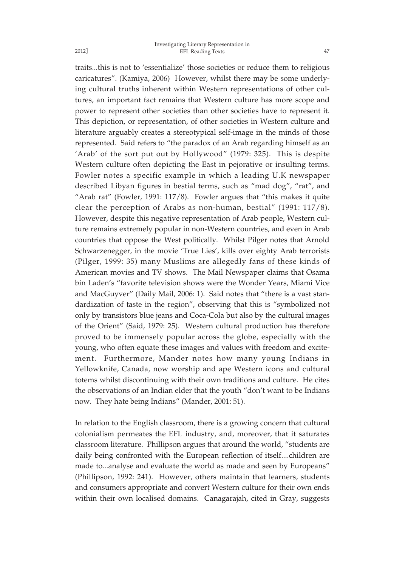#### Investigating Literary Representation in EFL Reading Texts 47

traits...this is not to 'essentialize' those societies or reduce them to religious caricatures". (Kamiya, 2006) However, whilst there may be some underlying cultural truths inherent within Western representations of other cultures, an important fact remains that Western culture has more scope and power to represent other societies than other societies have to represent it. This depiction, or representation, of other societies in Western culture and literature arguably creates a stereotypical self-image in the minds of those represented. Said refers to "the paradox of an Arab regarding himself as an 'Arab' of the sort put out by Hollywood" (1979: 325). This is despite Western culture often depicting the East in pejorative or insulting terms. Fowler notes a specific example in which a leading U.K newspaper described Libyan figures in bestial terms, such as "mad dog", "rat", and "Arab rat" (Fowler, 1991: 117/8). Fowler argues that "this makes it quite clear the perception of Arabs as non-human, bestial" (1991: 117/8). However, despite this negative representation of Arab people, Western culture remains extremely popular in non-Western countries, and even in Arab countries that oppose the West politically. Whilst Pilger notes that Arnold Schwarzenegger, in the movie 'True Lies', kills over eighty Arab terrorists (Pilger, 1999: 35) many Muslims are allegedly fans of these kinds of American movies and TV shows. The Mail Newspaper claims that Osama bin Laden's "favorite television shows were the Wonder Years, Miami Vice and MacGuyver" (Daily Mail, 2006: 1). Said notes that "there is a vast standardization of taste in the region", observing that this is "symbolized not only by transistors blue jeans and Coca-Cola but also by the cultural images of the Orient" (Said, 1979: 25). Western cultural production has therefore proved to be immensely popular across the globe, especially with the young, who often equate these images and values with freedom and excitement. Furthermore, Mander notes how many young Indians in Yellowknife, Canada, now worship and ape Western icons and cultural totems whilst discontinuing with their own traditions and culture. He cites the observations of an Indian elder that the youth "don't want to be Indians now. They hate being Indians" (Mander, 2001: 51).

In relation to the English classroom, there is a growing concern that cultural colonialism permeates the EFL industry, and, moreover, that it saturates classroom literature. Phillipson argues that around the world, "students are daily being confronted with the European reflection of itself....children are made to...analyse and evaluate the world as made and seen by Europeans" (Phillipson, 1992: 241). However, others maintain that learners, students and consumers appropriate and convert Western culture for their own ends within their own localised domains. Canagarajah, cited in Gray, suggests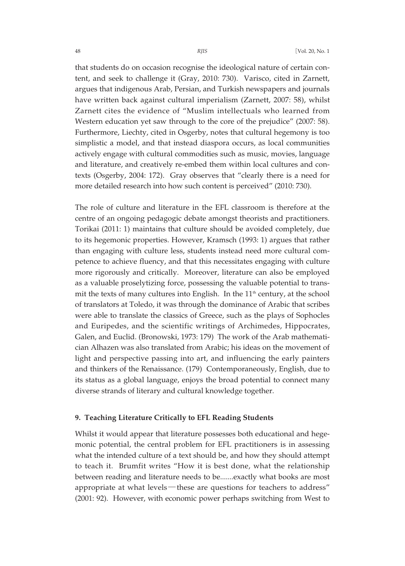that students do on occasion recognise the ideological nature of certain content, and seek to challenge it (Gray, 2010: 730). Varisco, cited in Zarnett, argues that indigenous Arab, Persian, and Turkish newspapers and journals have written back against cultural imperialism (Zarnett, 2007: 58), whilst Zarnett cites the evidence of "Muslim intellectuals who learned from Western education yet saw through to the core of the prejudice" (2007: 58). Furthermore, Liechty, cited in Osgerby, notes that cultural hegemony is too simplistic a model, and that instead diaspora occurs, as local communities actively engage with cultural commodities such as music, movies, language and literature, and creatively re-embed them within local cultures and contexts (Osgerby, 2004: 172). Gray observes that "clearly there is a need for more detailed research into how such content is perceived" (2010: 730).

The role of culture and literature in the EFL classroom is therefore at the centre of an ongoing pedagogic debate amongst theorists and practitioners. Torikai (2011: 1) maintains that culture should be avoided completely, due to its hegemonic properties. However, Kramsch (1993: 1) argues that rather than engaging with culture less, students instead need more cultural competence to achieve fluency, and that this necessitates engaging with culture more rigorously and critically. Moreover, literature can also be employed as a valuable proselytizing force, possessing the valuable potential to transmit the texts of many cultures into English. In the  $11<sup>th</sup>$  century, at the school of translators at Toledo, it was through the dominance of Arabic that scribes were able to translate the classics of Greece, such as the plays of Sophocles and Euripedes, and the scientific writings of Archimedes, Hippocrates, Galen, and Euclid. (Bronowski, 1973: 179) The work of the Arab mathematician Alhazen was also translated from Arabic; his ideas on the movement of light and perspective passing into art, and influencing the early painters and thinkers of the Renaissance. (179) Contemporaneously, English, due to its status as a global language, enjoys the broad potential to connect many diverse strands of literary and cultural knowledge together.

## **9. Teaching Literature Critically to EFL Reading Students**

Whilst it would appear that literature possesses both educational and hegemonic potential, the central problem for EFL practitioners is in assessing what the intended culture of a text should be, and how they should attempt to teach it. Brumfit writes "How it is best done, what the relationship between reading and literature needs to be.......exactly what books are most appropriate at what levels-these are questions for teachers to address" (2001: 92). However, with economic power perhaps switching from West to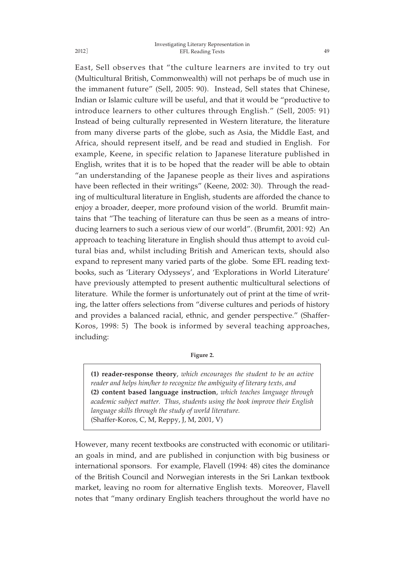East, Sell observes that "the culture learners are invited to try out (Multicultural British, Commonwealth) will not perhaps be of much use in the immanent future" (Sell, 2005: 90). Instead, Sell states that Chinese, Indian or Islamic culture will be useful, and that it would be "productive to introduce learners to other cultures through English." (Sell, 2005: 91) Instead of being culturally represented in Western literature, the literature from many diverse parts of the globe, such as Asia, the Middle East, and Africa, should represent itself, and be read and studied in English. For example, Keene, in specific relation to Japanese literature published in English, writes that it is to be hoped that the reader will be able to obtain "an understanding of the Japanese people as their lives and aspirations have been reflected in their writings" (Keene, 2002: 30). Through the reading of multicultural literature in English, students are afforded the chance to enjoy a broader, deeper, more profound vision of the world. Brumfit maintains that "The teaching of literature can thus be seen as a means of introducing learners to such a serious view of our world". (Brumfit, 2001: 92) An approach to teaching literature in English should thus attempt to avoid cultural bias and, whilst including British and American texts, should also expand to represent many varied parts of the globe. Some EFL reading textbooks, such as 'Literary Odysseys', and 'Explorations in World Literature' have previously attempted to present authentic multicultural selections of literature. While the former is unfortunately out of print at the time of writing, the latter offers selections from "diverse cultures and periods of history and provides a balanced racial, ethnic, and gender perspective." (Shaffer-Koros, 1998: 5) The book is informed by several teaching approaches, including:

**Figure 2.**

**(1) reader-response theory**, *which encourages the student to be an active reader and helps him/her to recognize the ambiguity of literary texts, and* **(2) content based language instruction**, *which teaches language through academic subject matter. Thus, students using the book improve their English language skills through the study of world literature.* (Shaffer-Koros, C, M, Reppy, J, M, 2001, V)

However, many recent textbooks are constructed with economic or utilitarian goals in mind, and are published in conjunction with big business or international sponsors. For example, Flavell (1994: 48) cites the dominance of the British Council and Norwegian interests in the Sri Lankan textbook market, leaving no room for alternative English texts. Moreover, Flavell notes that "many ordinary English teachers throughout the world have no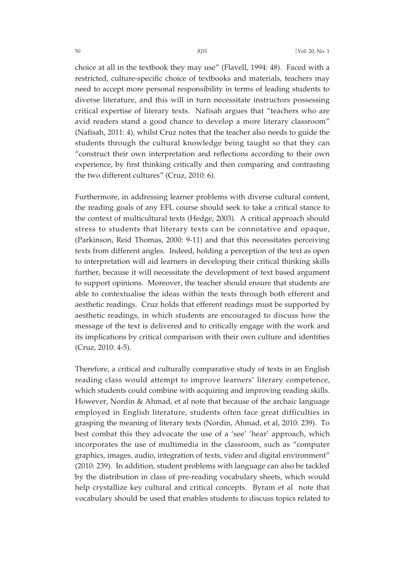choice at all in the textbook they may use" (Flavell, 1994: 48). Faced with a restricted, culture-specific choice of textbooks and materials, teachers may need to accept more personal responsibility in terms of leading students to diverse literature, and this will in turn necessitate instructors possessing critical expertise of literary texts. Nafisah argues that "teachers who are avid readers stand a good chance to develop a more literary classroom" (Nafisah, 2011: 4), whilst Cruz notes that the teacher also needs to guide the students through the cultural knowledge being taught so that they can "construct their own interpretation and reflections according to their own experience, by first thinking critically and then comparing and contrasting the two different cultures" (Cruz, 2010: 6).

Furthermore, in addressing learner problems with diverse cultural content, the reading goals of any EFL course should seek to take a critical stance to the context of multicultural texts (Hedge, 2003). A critical approach should stress to students that literary texts can be connotative and opaque, (Parkinson, Reid Thomas, 2000: 9-11) and that this necessitates perceiving texts from different angles. Indeed, holding a perception of the text as open to interpretation will aid learners in developing their critical thinking skills further, because it will necessitate the development of text based argument to support opinions. Moreover, the teacher should ensure that students are able to contextualise the ideas within the texts through both efferent and aesthetic readings. Cruz holds that efferent readings must be supported by aesthetic readings, in which students are encouraged to discuss how the message of the text is delivered and to critically engage with the work and its implications by critical comparison with their own culture and identities (Cruz, 2010: 4-5).

Therefore, a critical and culturally comparative study of texts in an English reading class would attempt to improve learners' literary competence, which students could combine with acquiring and improving reading skills. However, Nordin & Ahmad, et al note that because of the archaic language employed in English literature, students often face great difficulties in grasping the meaning of literary texts (Nordin, Ahmad, et al, 2010: 239). To best combat this they advocate the use of a 'see' 'hear' approach, which incorporates the use of multimedia in the classroom, such as "computer graphics, images, audio, integration of texts, video and digital environment" (2010: 239). In addition, student problems with language can also be tackled by the distribution in class of pre-reading vocabulary sheets, which would help crystallize key cultural and critical concepts. Byram et al note that vocabulary should be used that enables students to discuss topics related to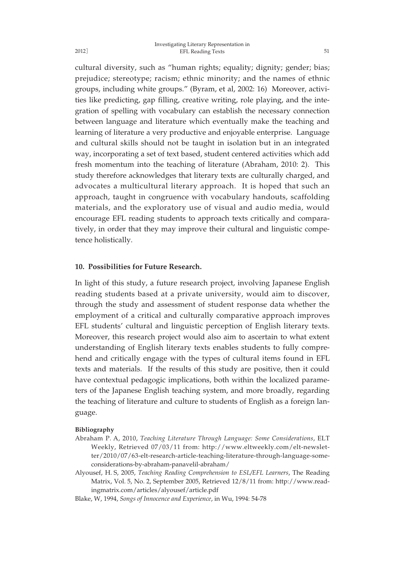cultural diversity, such as "human rights; equality; dignity; gender; bias; prejudice; stereotype; racism; ethnic minority; and the names of ethnic groups, including white groups." (Byram, et al, 2002: 16) Moreover, activities like predicting, gap filling, creative writing, role playing, and the integration of spelling with vocabulary can establish the necessary connection between language and literature which eventually make the teaching and learning of literature a very productive and enjoyable enterprise. Language and cultural skills should not be taught in isolation but in an integrated way, incorporating a set of text based, student centered activities which add fresh momentum into the teaching of literature (Abraham, 2010: 2). This study therefore acknowledges that literary texts are culturally charged, and advocates a multicultural literary approach. It is hoped that such an approach, taught in congruence with vocabulary handouts, scaffolding materials, and the exploratory use of visual and audio media, would encourage EFL reading students to approach texts critically and comparatively, in order that they may improve their cultural and linguistic competence holistically.

## **10. Possibilities for Future Research.**

In light of this study, a future research project, involving Japanese English reading students based at a private university, would aim to discover, through the study and assessment of student response data whether the employment of a critical and culturally comparative approach improves EFL students' cultural and linguistic perception of English literary texts. Moreover, this research project would also aim to ascertain to what extent understanding of English literary texts enables students to fully comprehend and critically engage with the types of cultural items found in EFL texts and materials. If the results of this study are positive, then it could have contextual pedagogic implications, both within the localized parameters of the Japanese English teaching system, and more broadly, regarding the teaching of literature and culture to students of English as a foreign language.

#### **Bibliography**

- Abraham P. A, 2010, *Teaching Literature Through Language: Some Considerations*, ELT Weekly, Retrieved 07/03/11 from: http://www.eltweekly.com/elt-newsletter/2010/07/63-elt-research-article-teaching-literature-through-language-someconsiderations-by-abraham-panavelil-abraham/
- Alyousef, H. S, 2005, *Teaching Reading Comprehension to ESL/EFL Learners*, The Reading Matrix, Vol. 5, No. 2, September 2005, Retrieved 12/8/11 from: http://www.readingmatrix.com/articles/alyousef/article.pdf
- Blake, W, 1994, *Songs of Innocence and Experience*, in Wu, 1994: 54-78

2012]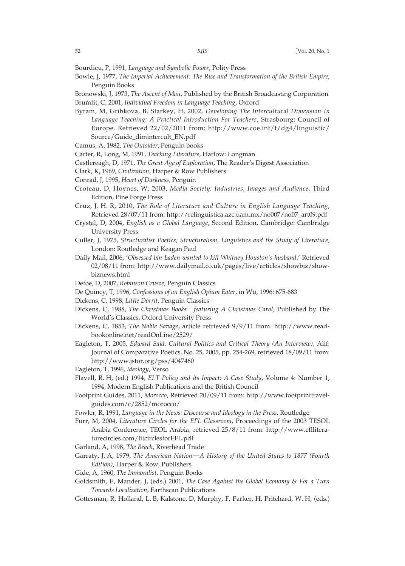Bourdieu, P, 1991, *Language and Symbolic Power*, Polity Press

- Bowle, J, 1977, *The Imperial Achievement: The Rise and Transformation of the British Empire*, Penguin Books
- Bronowski, J, 1973, *The Ascent of Man*, Published by the British Broadcasting Corporation Brumfit, C, 2001, *Individual Freedom in Language Teaching*, Oxford
- Byram, M, Gribkova, B, Starkey, H, 2002, *Developing The Intercultural Dimension In Language Teaching: A Practical Introduction For Teachers*, Strasbourg: Council of Europe. Retrieved 22/02/2011 from: http://www.coe.int/t/dg4/linguistic/ Source/Guide\_dimintercult\_EN.pdf
- Camus, A, 1982, *The Outsider*, Penguin books
- Carter, R, Long, M, 1991, *Teaching Literature*, Harlow: Longman
- Castlereagh, D, 1971, *The Great Age of Exploration*, The Reader's Digest Association
- Clark, K, 1969, *Civilization*, Harper & Row Publishers
- Conrad, J, 1995, *Heart of Darkness*, Penguin
- Croteau, D, Hoynes, W, 2003, *Media Society: Industries, Images and Audience*, Third Edition, Pine Forge Press
- Cruz, J. H. R, 2010, *The Role of Literature and Culture in English Language Teaching*, Retrieved 28/07/11 from: http://relinguistica.azc.uam.mx/no007/no07\_art09.pdf
- Crystal, D, 2004, *English as a Global Language*, Second Edition, Cambridge: Cambridge University Press
- Culler, J, 1975, *Structuralist Poetics; Structuralism, Linguistics and the Study of Literature*, London: Routledge and Keagan Paul
- Daily Mail, 2006, '*Obsessed bin Laden wanted to kill Whitney Houston's husband*.' Retrieved 02/08/11 from: http://www.dailymail.co.uk/pages/live/articles/showbiz/showbiznews.html
- Defoe, D, 2007, *Robinson Crusoe*, Penguin Classics
- De Quincy, T, 1996, *Confessions of an English Opium Eater*, in Wu, 1996: 675-683
- Dickens, C, 1998, *Little Dorrit*, Penguin Classics
- Dickens, C, 1988, *The Christmas Books*―*featuring A Christmas Carol*, Published by The World's Classics, Oxford University Press
- Dickens, C, 1853, *The Noble Savage*, article retrieved 9/9/11 from: http://www.readbookonline.net/readOnLine/2529/
- Eagleton, T, 2005, *Edward Said, Cultural Politics and Critical Theory (An Interview)*, Alif: Journal of Comparative Poetics, No. 25, 2005, pp. 254-269, retrieved 18/09/11 from: http://www.jstor.org/pss/4047460
- Eagleton, T, 1996, *Ideology*, Verso
- Flavell, R. H, (ed.) 1994, *ELT Policy and its Impact: A Case Study*, Volume 4: Number 1, 1994, Modern English Publications and the British Council
- Footprint Guides, 2011, *Morocco*, Retrieved 20/09/11 from: http://www.footprinttravelguides.com/c/2852/morocco/
- Fowler, R, 1991, *Language in the News: Discourse and Ideology in the Press*, Routledge
- Furr, M, 2004, *Literature Circles for the EFL Classroom*, Proceedings of the 2003 TESOL Arabia Conference, TEOL Arabia, retrieved 25/8/11 from: http://www.eflliteraturecircles.com/litcirclesforEFL.pdf
- Garland, A, 1998, *The Beach*, Riverhead Trade
- Garraty, J. A, 1979, *The American Nation*―*A History of the United States to 1877 (Fourth Edition)*, Harper & Row, Publishers
- Gide, A, 1960, *The Immoralist*, Penguin Books
- Goldsmith, E, Mander, J, (eds.) 2001, *The Case Against the Global Economy & For a Turn Towards Localization*, Earthscan Publications
- Gottesman, R, Holland, L. B, Kalstone, D, Murphy, F, Parker, H, Pritchard, W. H, (eds.)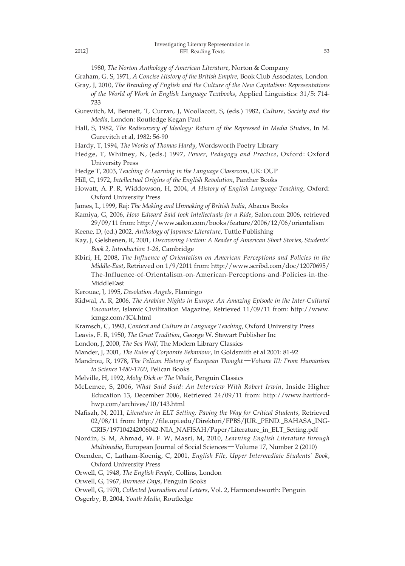1980, *The Norton Anthology of American Literature*, Norton & Company

Graham, G. S, 1971, *A Concise History of the British Empire*, Book Club Associates, London

- Gray, J, 2010, *The Branding of English and the Culture of the New Capitalism: Representations*
	- *of the World of Work in English Language Textbooks*, Applied Linguistics: 31/5: 714- 733
- Gurevitch, M, Bennett, T, Curran, J, Woollacott, S, (eds.) 1982, *Culture, Society and the Media*, London: Routledge Kegan Paul
- Hall, S, 1982, *The Rediscovery of Ideology: Return of the Repressed In Media Studies*, In M. Gurevitch et al, 1982: 56-90
- Hardy, T, 1994, *The Works of Thomas Hardy*, Wordsworth Poetry Library
- Hedge, T, Whitney, N, (eds.) 1997, *Power, Pedagogy and Practice*, Oxford: Oxford University Press
- Hedge T, 2003, *Teaching & Learning in the Language Classroom*, UK: OUP
- Hill, C, 1972, *Intellectual Origins of the English Revolution*, Panther Books
- Howatt, A. P. R, Widdowson, H, 2004, *A History of English Language Teaching*, Oxford: Oxford University Press
- James, L, 1999, Raj: *The Making and Unmaking of British India*, Abacus Books
- Kamiya, G, 2006, *How Edward Said took Intellectuals for a Ride*, Salon.com 2006, retrieved 29/09/11 from: http://www.salon.com/books/feature/2006/12/06/orientalism
- Keene, D, (ed.) 2002, *Anthology of Japanese Literature*, Tuttle Publishing
- Kay, J, Gelshenen, R, 2001, *Discovering Fiction: A Reader of American Short Stories, Students' Book 2, Introduction 1-26*, Cambridge
- Kbiri, H, 2008, *The Influence of Orientalism on American Perceptions and Policies in the Middle-East*, Retrieved on 1/9/2011 from: http://www.scribd.com/doc/12070695/ The-Influence-of-Orientalism-on-American-Perceptions-and-Policies-in-the-MiddleEast
- Kerouac, J, 1995, *Desolation Angels*, Flamingo
- Kidwal, A. R, 2006, *The Arabian Nights in Europe: An Amazing Episode in the Inter-Cultural Encounter*, Islamic Civilization Magazine, Retrieved 11/09/11 from: http://www. icmgz.com/IC4.html
- Kramsch, C, 1993, C*ontext and Culture in Language Teaching*, Oxford University Press
- Leavis, F. R, 1950, *The Great Tradition*, George W. Stewart Publisher Inc
- London, J, 2000, *The Sea Wolf*, The Modern Library Classics
- Mander, J, 2001, *The Rules of Corporate Behaviour*, In Goldsmith et al 2001: 81-92
- Mandrou, R, 1978, *The Pelican History of European Thought*―*Volume III: From Humanism to Science 1480-1700*, Pelican Books
- Melville, H, 1992, *Moby Dick or The Whale*, Penguin Classics
- McLemee, S, 2006, *What Said Said: An Interview With Robert Irwin*, Inside Higher Education 13, December 2006, Retrieved 24/09/11 from: http://www.hartfordhwp.com/archives/10/143.html
- Nafisah, N, 2011, *Literature in ELT Setting: Paving the Way for Critical Students*, Retrieved 02/08/11 from: http://file.upi.edu/Direktori/FPBS/JUR.\_PEND.\_BAHASA\_ING-GRIS/197104242006042-NIA\_NAFISAH/Paper/Literature\_in\_ELT\_Setting.pdf
- Nordin, S. M, Ahmad, W. F. W, Masri, M, 2010, *Learning English Literature through Multimedia*, European Journal of Social Sciences―Volume 17, Number 2 (2010)
- Oxenden, C, Latham-Koenig, C, 2001, *English File, Upper Intermediate Students' Book*, Oxford University Press
- Orwell, G, 1948, *The English People*, Collins, London
- Orwell, G, 1967, *Burmese Days*, Penguin Books
- Orwell, G, 1970, *Collected Journalism and Letters*, Vol. 2, Harmondsworth: Penguin
- Osgerby, B, 2004, *Youth Media*, Routledge